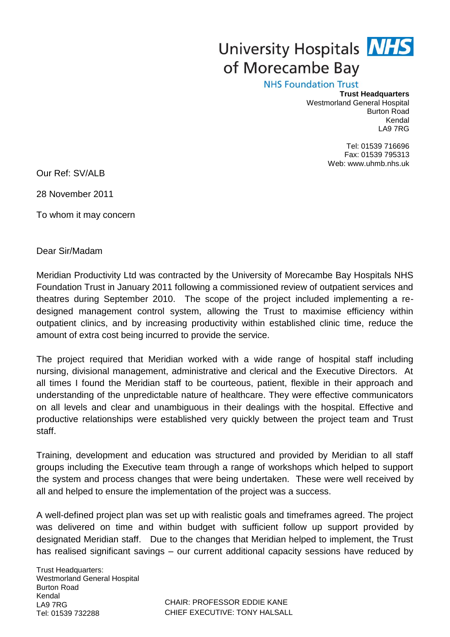## University Hospitals **NHS** of Morecambe Bay

**NHS Foundation Trust** 

## **Trust Headquarters** Westmorland General Hospital Burton Road Kendal LA9 7RG

Tel: 01539 716696 Fax: 01539 795313 Web: www.uhmb.nhs.uk

Our Ref: SV/ALB

28 November 2011

To whom it may concern

Dear Sir/Madam

Meridian Productivity Ltd was contracted by the University of Morecambe Bay Hospitals NHS Foundation Trust in January 2011 following a commissioned review of outpatient services and theatres during September 2010. The scope of the project included implementing a redesigned management control system, allowing the Trust to maximise efficiency within outpatient clinics, and by increasing productivity within established clinic time, reduce the amount of extra cost being incurred to provide the service.

The project required that Meridian worked with a wide range of hospital staff including nursing, divisional management, administrative and clerical and the Executive Directors. At all times I found the Meridian staff to be courteous, patient, flexible in their approach and understanding of the unpredictable nature of healthcare. They were effective communicators on all levels and clear and unambiguous in their dealings with the hospital. Effective and productive relationships were established very quickly between the project team and Trust staff.

Training, development and education was structured and provided by Meridian to all staff groups including the Executive team through a range of workshops which helped to support the system and process changes that were being undertaken. These were well received by all and helped to ensure the implementation of the project was a success.

A well-defined project plan was set up with realistic goals and timeframes agreed. The project was delivered on time and within budget with sufficient follow up support provided by designated Meridian staff. Due to the changes that Meridian helped to implement, the Trust has realised significant savings – our current additional capacity sessions have reduced by

Trust Headquarters: Westmorland General Hospital Burton Road Kendal LA9 7RG Tel: 01539 732288

CHAIR: PROFESSOR EDDIE KANE CHIEF EXECUTIVE: TONY HALSALL